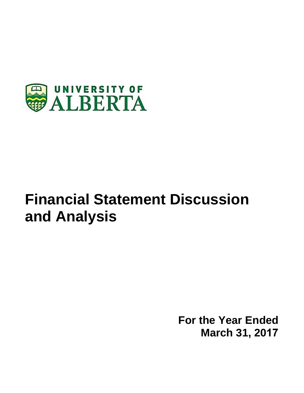

# **Financial Statement Discussion and Analysis**

**For the Year Ended March 31, 2017**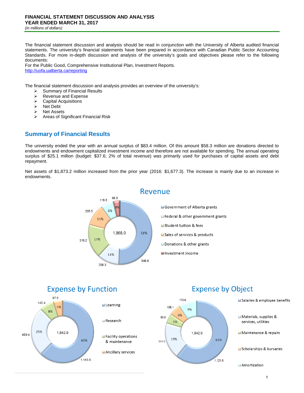The financial statement discussion and analysis should be read in conjunction with the University of Alberta audited financial statements. The university's financial statements have been prepared in accordance with Canadian Public Sector Accounting Standards. For more in-depth discussion and analysis of the university's goals and objectives please refer to the following documents:

For the Public Good, Comprehensive Institutional Plan, Investment Reports. http://uofa.ualberta.ca/reporting

The financial statement discussion and analysis provides an overview of the university's:

- $\geq$  Summary of Financial Results<br>  $\geq$  Revenue and Expense
- $\triangleright$  Revenue and Expense<br> $\triangleright$  Capital Acquisitions
- Capital Acquisitions
- $\triangleright$  Net Debt
- $\triangleright$  Net Assets
- $\triangleright$  Areas of Significant Financial Risk

## **Summary of Financial Results**

The university ended the year with an annual surplus of \$83.4 million. Of this amount \$58.3 million are donations directed to endowments and endowment capitalized investment income and therefore are not available for spending. The annual operating surplus of \$25.1 million (budget: \$37.6; 2% of total revenue) was primarily used for purchases of capital assets and debt repayment.

Net assets of \$1,873.2 million increased from the prior year (2016: \$1,677.3). The increase is mainly due to an increase in endowments.





## **Expense by Object**



Materials, supplies & services, utilities

Salaries & employee benefits

Maintenance & repairs

Scholarships & bursaries

Amortization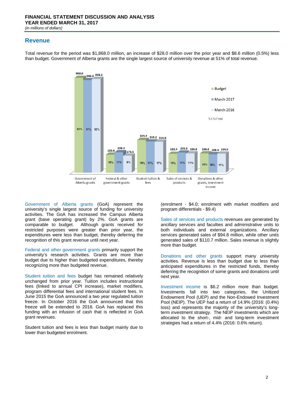## **Revenue**

Total revenue for the period was \$1,868.0 million, an increase of \$28.0 million over the prior year and \$8.6 million (0.5%) less than budget. Government of Alberta grants are the single largest source of university revenue at 51% of total revenue.



Government of Alberta grants (GoA) represent the university's single largest source of funding for university activities. The GoA has increased the Campus Alberta grant (base operating grant) by 2%. GoA grants are comparable to budget. Although grants received for restricted purposes were greater than prior year, the expenditures were less than budget, thereby deferring the recognition of this grant revenue until next year.

Federal and other government grants primarily support the university's research activities. Grants are more than budget due to higher than budgeted expenditures, thereby recognizing more than budgeted revenue.

Student tuition and fees budget has remained relatively unchanged from prior year. Tuition includes instructional fees (linked to annual CPI increase), market modifiers, program differential fees and international student fees. In June 2015 the GoA announced a two year regulated tuition freeze. In October 2016 the GoA announced that this freeze will be extended to 2018. GoA has replaced this funding with an infusion of cash that is reflected in GoA grant revenues.

Student tuition and fees is less than budget mainly due to lower than budgeted enrolment.

(enrolment - \$4.0; enrolment with market modifiers and program differentials - \$9.4)

Sales of services and products revenues are generated by ancillary services and faculties and administrative units to both individuals and external organizations. Ancillary services generated sales of \$94.8 million, while other units generated sales of \$110.7 million. Sales revenue is slightly more than budget.

Donations and other grants support many university activities. Revenue is less than budget due to less than anticipated expenditures in the restricted funds, thereby deferring the recognition of some grants and donations until next year.

Investment income is \$6.2 million more than budget. Investments fall into two categories, the Unitized Endowment Pool (UEP) and the Non-Endowed Investment Pool (NEIP). The UEP had a return of 14.9% (2016: (0.4%) loss) and represents the majority of the university's longterm investment strategy. The NEIP investments which are allocated to the short-, mid- and long-term investment strategies had a return of 4.4% (2016: 0.6% return).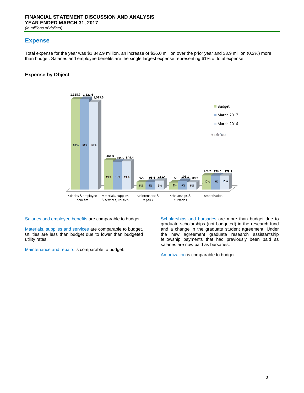## **Expense**

Total expense for the year was \$1,842.9 million, an increase of \$36.0 million over the prior year and \$3.9 million (0.2%) more than budget. Salaries and employee benefits are the single largest expense representing 61% of total expense.

#### **Expense by Object**



Salaries and employee benefits are comparable to budget.

Materials, supplies and services are comparable to budget. Utilities are less than budget due to lower than budgeted utility rates.

Maintenance and repairs is comparable to budget.

Scholarships and bursaries are more than budget due to graduate scholarships (not budgeted) in the research fund and a change in the graduate student agreement. Under the new agreement graduate research assistantship fellowship payments that had previously been paid as salaries are now paid as bursaries.

Amortization is comparable to budget.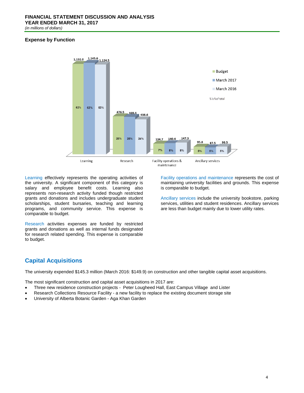#### **Expense by Function**



Learning effectively represents the operating activities of the university. A significant component of this category is salary and employee benefit costs. Learning also represents non-research activity funded though restricted grants and donations and includes undergraduate student scholarships, student bursaries, teaching and learning programs, and community service. This expense is comparable to budget.

Research activities expenses are funded by restricted grants and donations as well as internal funds designated for research related spending. This expense is comparable to budget.

Facility operations and maintenance represents the cost of maintaining university facilities and grounds. This expense is comparable to budget.

Ancillary services include the university bookstore, parking services, utilities and student residences. Ancillary services are less than budget mainly due to lower utility rates.

## **Capital Acquisitions**

The university expended \$145.3 million (March 2016: \$149.9) on construction and other tangible capital asset acquisitions.

The most significant construction and capital asset acquisitions in 2017 are:

- Three new residence construction projects Peter Lougheed Hall, East Campus Village and Lister
- Research Collections Resource Facility a new facility to replace the existing document storage site
- University of Alberta Botanic Garden Aga Khan Garden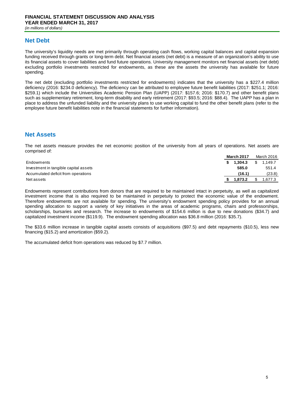## **Net Debt**

The university's liquidity needs are met primarily through operating cash flows, working capital balances and capital expansion funding received through grants or long-term debt. Net financial assets (net debt) is a measure of an organization's ability to use its financial assets to cover liabilities and fund future operations. University management monitors net financial assets (net debt) excluding portfolio investments restricted for endowments, as these are the assets the university has available for future spending.

The net debt (excluding portfolio investments restricted for endowments) indicates that the university has a \$227.4 million deficiency (2016: \$234.0 deficiency). The deficiency can be attributed to employee future benefit liabilities (2017: \$251.1; 2016: \$259.1) which include the Universities Academic Pension Plan (UAPP) (2017: \$157.6; 2016: \$170.7) and other benefit plans such as supplementary retirement, long-term disability and early retirement (2017: \$93.5; 2016: \$88.4). The UAPP has a plan in place to address the unfunded liability and the university plans to use working capital to fund the other benefit plans (refer to the employee future benefit liabilities note in the financial statements for further information).

## **Net Assets**

The net assets measure provides the net economic position of the university from all years of operations. Net assets are comprised of:

|                                       | <b>March 2017</b> |         | March 2016 |         |
|---------------------------------------|-------------------|---------|------------|---------|
| Endowments                            |                   | 1.304.3 | \$         | 1.149.7 |
| Investment in tangible capital assets |                   | 585.0   |            | 551.4   |
| Accumulated deficit from operations   |                   | (16.1)  |            | (23.8)  |
| Net assets                            |                   | 1.873.2 |            | .677.3  |

Endowments represent contributions from donors that are required to be maintained intact in perpetuity, as well as capitalized investment income that is also required to be maintained in perpetuity to protect the economic value of the endowment. Therefore endowments are not available for spending. The university's endowment spending policy provides for an annual spending allocation to support a variety of key initiatives in the areas of academic programs, chairs and professorships, scholarships, bursaries and research. The increase to endowments of \$154.6 million is due to new donations (\$34.7) and capitalized investment income (\$119.9). The endowment spending allocation was \$36.8 million (2016: \$35.7).

The \$33.6 million increase in tangible capital assets consists of acquisitions (\$97.5) and debt repayments (\$10.5), less new financing (\$15.2) and amortization (\$59.2).

The accumulated deficit from operations was reduced by \$7.7 million.